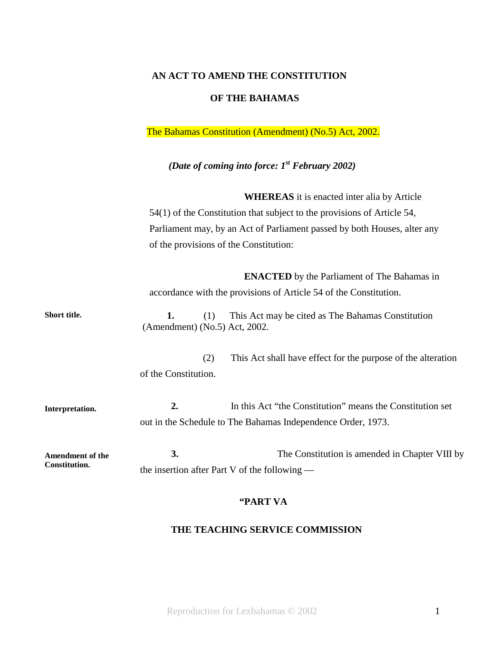#### **AN ACT TO AMEND THE CONSTITUTION**

### **OF THE BAHAMAS**

The Bahamas Constitution (Amendment) (No.5) Act, 2002.

# *(Date of coming into force: 1st February 2002)*

**WHEREAS** it is enacted inter alia by Article 54(1) of the Constitution that subject to the provisions of Article 54, Parliament may, by an Act of Parliament passed by both Houses, alter any of the provisions of the Constitution:

**ENACTED** by the Parliament of The Bahamas in accordance with the provisions of Article 54 of the Constitution.

**Short title. 1.** (1) This Act may be cited as The Bahamas Constitution (Amendment) (No.5) Act, 2002.

> (2) This Act shall have effect for the purpose of the alteration of the Constitution.

**Interpretation. 2.** In this Act "the Constitution" means the Constitution set out in the Schedule to The Bahamas Independence Order, 1973.

**Amendment of the Constitution. 3.** The Constitution is amended in Chapter VIII by the insertion after Part V of the following —

### **"PART VA**

## **THE TEACHING SERVICE COMMISSION**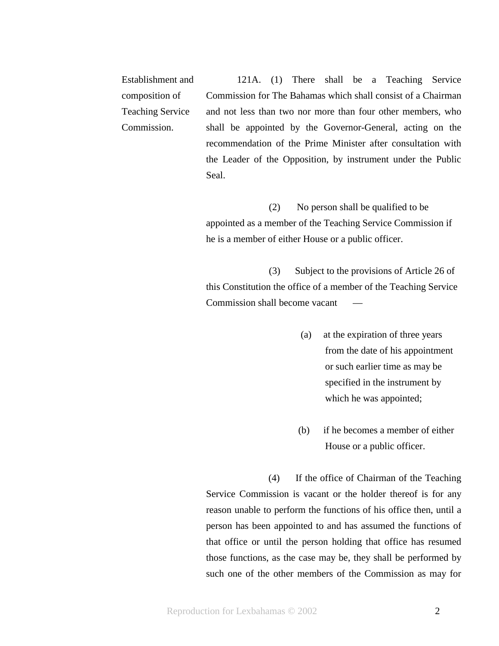Establishment and composition of Teaching Service Commission. 121A. (1) There shall be a Teaching Service Commission for The Bahamas which shall consist of a Chairman and not less than two nor more than four other members, who shall be appointed by the Governor-General, acting on the recommendation of the Prime Minister after consultation with the Leader of the Opposition, by instrument under the Public Seal.

> (2) No person shall be qualified to be appointed as a member of the Teaching Service Commission if he is a member of either House or a public officer.

(3) Subject to the provisions of Article 26 of this Constitution the office of a member of the Teaching Service Commission shall become vacant —

- (a) at the expiration of three years from the date of his appointment or such earlier time as may be specified in the instrument by which he was appointed;
- (b) if he becomes a member of either House or a public officer.

(4) If the office of Chairman of the Teaching Service Commission is vacant or the holder thereof is for any reason unable to perform the functions of his office then, until a person has been appointed to and has assumed the functions of that office or until the person holding that office has resumed those functions, as the case may be, they shall be performed by such one of the other members of the Commission as may for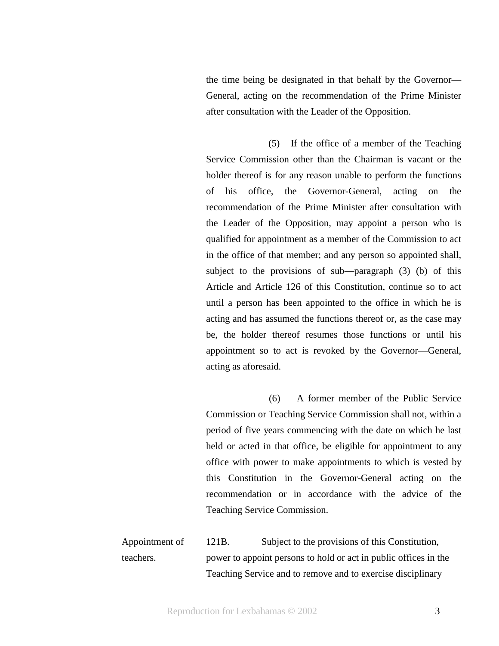the time being be designated in that behalf by the Governor— General, acting on the recommendation of the Prime Minister after consultation with the Leader of the Opposition.

(5) If the office of a member of the Teaching Service Commission other than the Chairman is vacant or the holder thereof is for any reason unable to perform the functions of his office, the Governor-General, acting on the recommendation of the Prime Minister after consultation with the Leader of the Opposition, may appoint a person who is qualified for appointment as a member of the Commission to act in the office of that member; and any person so appointed shall, subject to the provisions of sub—paragraph (3) (b) of this Article and Article 126 of this Constitution, continue so to act until a person has been appointed to the office in which he is acting and has assumed the functions thereof or, as the case may be, the holder thereof resumes those functions or until his appointment so to act is revoked by the Governor—General, acting as aforesaid.

(6) A former member of the Public Service Commission or Teaching Service Commission shall not, within a period of five years commencing with the date on which he last held or acted in that office, be eligible for appointment to any office with power to make appointments to which is vested by this Constitution in the Governor-General acting on the recommendation or in accordance with the advice of the Teaching Service Commission.

Appointment of teachers. 121B. Subject to the provisions of this Constitution, power to appoint persons to hold or act in public offices in the Teaching Service and to remove and to exercise disciplinary